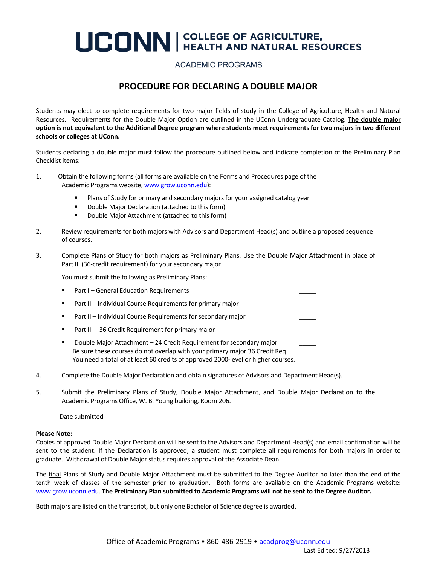# **UCONN** | COLLEGE OF AGRICULTURE,

### **ACADEMIC PROGRAMS**

### **PROCEDURE FOR DECLARING A DOUBLE MAJOR**

Students may elect to complete requirements for two major fields of study in the College of Agriculture, Health and Natural Resources. Requirements for the Double Major Option are outlined in the UConn Undergraduate Catalog. **The double major option is not equivalent to the Additional Degree program where students meet requirements for two majors in two different schools or colleges at UConn.**

Students declaring a double major must follow the procedure outlined below and indicate completion of the Preliminary Plan Checklist items:

- 1. Obtain the following forms (all forms are available on the Forms and Procedures page of the Academic Programs website[, www.grow.uconn.edu\)](http://www.grow.uconn.edu/):
	- Plans of Study for primary and secondary majors for your assigned catalog year
	- **•** Double Major Declaration (attached to this form)
	- **Double Major Attachment (attached to this form)**
- 2. Review requirements for both majors with Advisors and Department Head(s) and outline a proposed sequence of courses.
- 3. Complete Plans of Study for both majors as Preliminary Plans. Use the Double Major Attachment in place of Part III (36-credit requirement) for your secondary major.

You must submit the following as Preliminary Plans:

- Part I General Education Requirements Part II – Individual Course Requirements for primary major Part II – Individual Course Requirements for secondary major Part III – 36 Credit Requirement for primary major Double Major Attachment – 24 Credit Requirement for secondary major \_\_\_\_\_ Be sure these courses do not overlap with your primary major 36 Credit Req. You need a total of at least 60 credits of approved 2000-level or higher courses.
- 4. Complete the Double Major Declaration and obtain signatures of Advisors and Department Head(s).
- 5. Submit the Preliminary Plans of Study, Double Major Attachment, and Double Major Declaration to the Academic Programs Office, W. B. Young building, Room 206.

Date submitted

#### **Please Note**:

Copies of approved Double Major Declaration will be sent to the Advisors and Department Head(s) and email confirmation will be sent to the student. If the Declaration is approved, a student must complete all requirements for both majors in order to graduate. Withdrawal of Double Major status requires approval of the Associate Dean.

The final Plans of Study and Double Major Attachment must be submitted to the Degree Auditor no later than the end of the tenth week of classes of the semester prior to graduation. Both forms are available on the Academic Programs website: [www.grow.uconn.edu.](http://www.grow.uconn.edu/) **The Preliminary Plan submitted to Academic Programs will not be sent to the Degree Auditor.**

Both majors are listed on the transcript, but only one Bachelor of Science degree is awarded.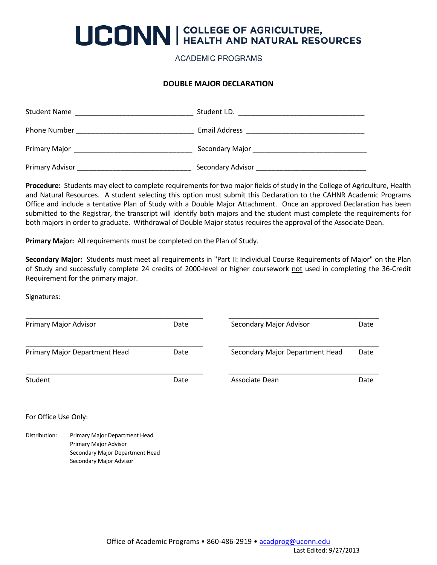# **UCONN** | COLLEGE OF AGRICULTURE,

**ACADEMIC PROGRAMS** 

#### **DOUBLE MAJOR DECLARATION**

| <b>Student Name</b> | Student I.D.                       |
|---------------------|------------------------------------|
| <b>Phone Number</b> | Email Address                      |
| Primary Major       | Secondary Major __________________ |
| Primary Advisor     | Secondary Advisor                  |

**Procedure:** Students may elect to complete requirements for two major fields of study in the College of Agriculture, Health and Natural Resources. A student selecting this option must submit this Declaration to the CAHNR Academic Programs Office and include a tentative Plan of Study with a Double Major Attachment. Once an approved Declaration has been submitted to the Registrar, the transcript will identify both majors and the student must complete the requirements for both majors in order to graduate. Withdrawal of Double Major status requires the approval of the Associate Dean.

**Primary Major:** All requirements must be completed on the Plan of Study.

Secondary Major Advisor

**Secondary Major:** Students must meet all requirements in "Part II: Individual Course Requirements of Major" on the Plan of Study and successfully complete 24 credits of 2000-level or higher coursework not used in completing the 36-Credit Requirement for the primary major.

Signatures:

| Primary Major Advisor         |                                                                                           | Date | Secondary Major Advisor         | Date |
|-------------------------------|-------------------------------------------------------------------------------------------|------|---------------------------------|------|
| Primary Major Department Head |                                                                                           | Date | Secondary Major Department Head |      |
| Student                       |                                                                                           | Date | Associate Dean                  | Date |
| For Office Use Only:          |                                                                                           |      |                                 |      |
| Distribution:                 | Primary Major Department Head<br>Primary Major Advisor<br>Secondary Major Department Head |      |                                 |      |